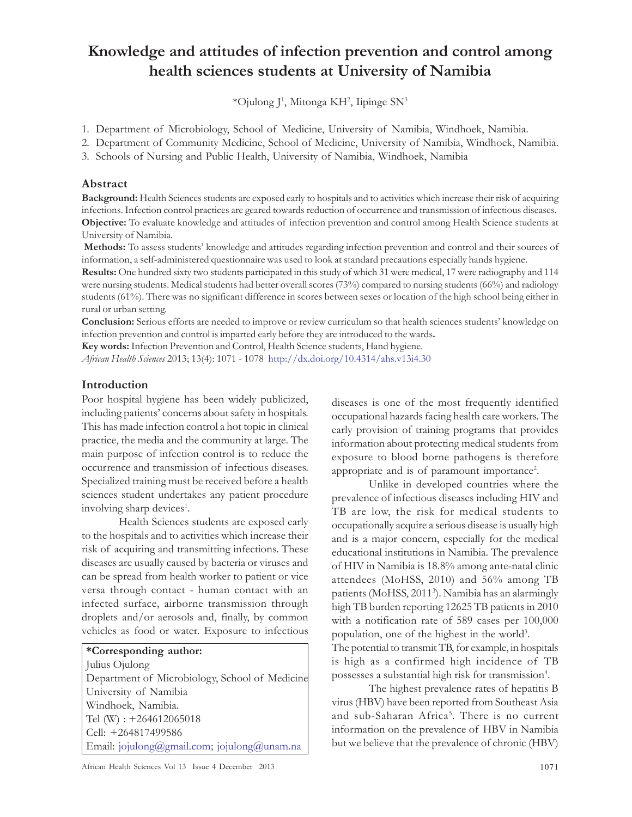# Knowledge and attitudes of infection prevention and control among health sciences students at University of Namibia

\*Ojulong J<sup>1</sup> , Mitonga KH<sup>2</sup> , Iipinge SN<sup>3</sup>

1. Department of Microbiology, School of Medicine, University of Namibia, Windhoek, Namibia.

2. Department of Community Medicine, School of Medicine, University of Namibia, Windhoek, Namibia.

3. Schools of Nursing and Public Health, University of Namibia, Windhoek, Namibia

#### Abstract

Background: Health Sciences students are exposed early to hospitals and to activities which increase their risk of acquiring infections. Infection control practices are geared towards reduction of occurrence and transmission of infectious diseases. Objective: To evaluate knowledge and attitudes of infection prevention and control among Health Science students at University of Namibia.

 Methods: To assess students' knowledge and attitudes regarding infection prevention and control and their sources of information, a self-administered questionnaire was used to look at standard precautions especially hands hygiene.

Results: One hundred sixty two students participated in this study of which 31 were medical, 17 were radiography and 114 were nursing students. Medical students had better overall scores (73%) compared to nursing students (66%) and radiology students (61%). There was no significant difference in scores between sexes or location of the high school being either in rural or urban setting.

Conclusion: Serious efforts are needed to improve or review curriculum so that health sciences students' knowledge on infection prevention and control is imparted early before they are introduced to the wards.

Key words: Infection Prevention and Control, Health Science students, Hand hygiene.

African Health Sciences 2013; 13(4): 1071 - 1078 http://dx.doi.org/10.4314/ahs.v13i4.30

#### Introduction

Poor hospital hygiene has been widely publicized, including patients' concerns about safety in hospitals. This has made infection control a hot topic in clinical practice, the media and the community at large. The main purpose of infection control is to reduce the occurrence and transmission of infectious diseases. Specialized training must be received before a health sciences student undertakes any patient procedure involving sharp devices<sup>1</sup>.

Health Sciences students are exposed early to the hospitals and to activities which increase their risk of acquiring and transmitting infections. These diseases are usually caused by bacteria or viruses and can be spread from health worker to patient or vice versa through contact - human contact with an infected surface, airborne transmission through droplets and/or aerosols and, finally, by common vehicles as food or water. Exposure to infectious

#### \*Corresponding author:

Julius Ojulong Department of Microbiology, School of Medicine University of Namibia Windhoek, Namibia. Tel (W) : +264612065018 Cell: +264817499586 Email: jojulong@gmail.com; jojulong@unam.na

diseases is one of the most frequently identified occupational hazards facing health care workers. The early provision of training programs that provides information about protecting medical students from exposure to blood borne pathogens is therefore appropriate and is of paramount importance<sup>2</sup>.

Unlike in developed countries where the prevalence of infectious diseases including HIV and TB are low, the risk for medical students to occupationally acquire a serious disease is usually high and is a major concern, especially for the medical educational institutions in Namibia. The prevalence of HIV in Namibia is 18.8% among ante-natal clinic attendees (MoHSS, 2010) and 56% among TB patients (MoHSS, 2011<sup>3</sup> ). Namibia has an alarmingly high TB burden reporting 12625 TB patients in 2010 with a notification rate of 589 cases per 100,000 population, one of the highest in the world<sup>3</sup>. The potential to transmit TB, for example, in hospitals is high as a confirmed high incidence of TB possesses a substantial high risk for transmission<sup>4</sup>.

The highest prevalence rates of hepatitis B virus (HBV) have been reported from Southeast Asia and sub-Saharan Africa<sup>5</sup>. There is no current information on the prevalence of HBV in Namibia but we believe that the prevalence of chronic (HBV)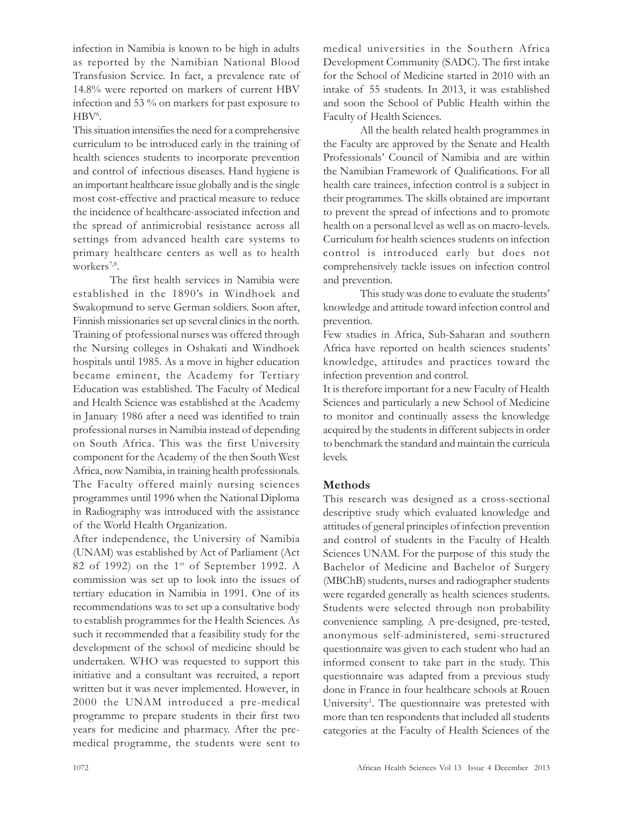infection in Namibia is known to be high in adults as reported by the Namibian National Blood Transfusion Service. In fact, a prevalence rate of 14.8% were reported on markers of current HBV infection and 53 % on markers for past exposure to HBV<sup>6</sup>.

This situation intensifies the need for a comprehensive curriculum to be introduced early in the training of health sciences students to incorporate prevention and control of infectious diseases. Hand hygiene is an important healthcare issue globally and is the single most cost-effective and practical measure to reduce the incidence of healthcare-associated infection and the spread of antimicrobial resistance across all settings from advanced health care systems to primary healthcare centers as well as to health workers<sup>7,8</sup>.

The first health services in Namibia were established in the 1890's in Windhoek and Swakopmund to serve German soldiers. Soon after, Finnish missionaries set up several clinics in the north. Training of professional nurses was offered through the Nursing colleges in Oshakati and Windhoek hospitals until 1985. As a move in higher education became eminent, the Academy for Tertiary Education was established. The Faculty of Medical and Health Science was established at the Academy in January 1986 after a need was identified to train professional nurses in Namibia instead of depending on South Africa. This was the first University component for the Academy of the then South West Africa, now Namibia, in training health professionals. The Faculty offered mainly nursing sciences programmes until 1996 when the National Diploma in Radiography was introduced with the assistance of the World Health Organization.

After independence, the University of Namibia (UNAM) was established by Act of Parliament (Act 82 of 1992) on the 1<sup>st</sup> of September 1992. A commission was set up to look into the issues of tertiary education in Namibia in 1991. One of its recommendations was to set up a consultative body to establish programmes for the Health Sciences. As such it recommended that a feasibility study for the development of the school of medicine should be undertaken. WHO was requested to support this initiative and a consultant was recruited, a report written but it was never implemented. However, in 2000 the UNAM introduced a pre-medical programme to prepare students in their first two years for medicine and pharmacy. After the premedical programme, the students were sent to medical universities in the Southern Africa Development Community (SADC). The first intake for the School of Medicine started in 2010 with an intake of 55 students. In 2013, it was established and soon the School of Public Health within the Faculty of Health Sciences.

All the health related health programmes in the Faculty are approved by the Senate and Health Professionals' Council of Namibia and are within the Namibian Framework of Qualifications. For all health care trainees, infection control is a subject in their programmes. The skills obtained are important to prevent the spread of infections and to promote health on a personal level as well as on macro-levels. Curriculum for health sciences students on infection control is introduced early but does not comprehensively tackle issues on infection control and prevention.

This study was done to evaluate the students' knowledge and attitude toward infection control and prevention.

Few studies in Africa, Sub-Saharan and southern Africa have reported on health sciences students' knowledge, attitudes and practices toward the infection prevention and control.

It is therefore important for a new Faculty of Health Sciences and particularly a new School of Medicine to monitor and continually assess the knowledge acquired by the students in different subjects in order to benchmark the standard and maintain the curricula levels.

# Methods

This research was designed as a cross-sectional descriptive study which evaluated knowledge and attitudes of general principles of infection prevention and control of students in the Faculty of Health Sciences UNAM. For the purpose of this study the Bachelor of Medicine and Bachelor of Surgery (MBChB) students, nurses and radiographer students were regarded generally as health sciences students. Students were selected through non probability convenience sampling. A pre-designed, pre-tested, anonymous self-administered, semi-structured questionnaire was given to each student who had an informed consent to take part in the study. This questionnaire was adapted from a previous study done in France in four healthcare schools at Rouen University<sup>1</sup>. The questionnaire was pretested with more than ten respondents that included all students categories at the Faculty of Health Sciences of the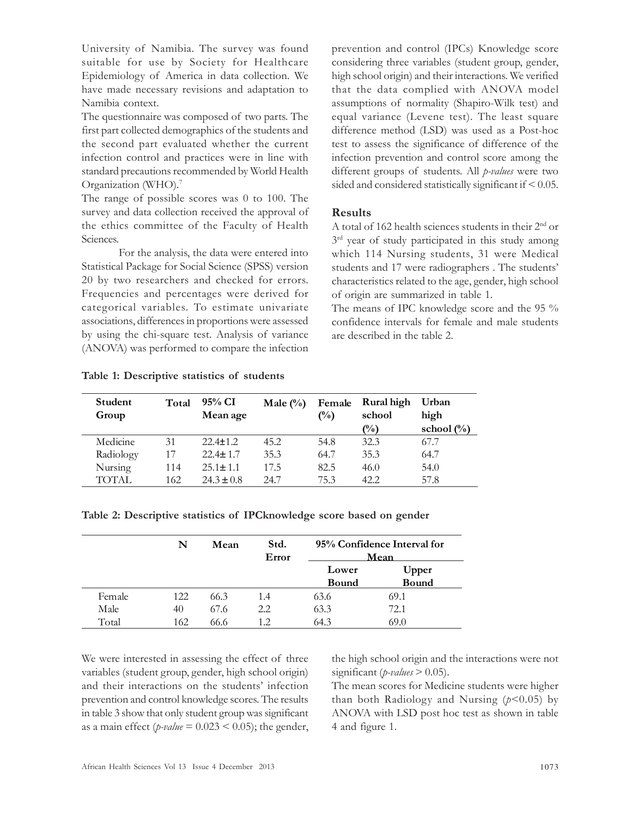University of Namibia. The survey was found suitable for use by Society for Healthcare Epidemiology of America in data collection. We have made necessary revisions and adaptation to Namibia context.

The questionnaire was composed of two parts. The first part collected demographics of the students and the second part evaluated whether the current infection control and practices were in line with standard precautions recommended by World Health Organization (WHO).<sup>7</sup>

The range of possible scores was 0 to 100. The survey and data collection received the approval of the ethics committee of the Faculty of Health Sciences.

For the analysis, the data were entered into Statistical Package for Social Science (SPSS) version 20 by two researchers and checked for errors. Frequencies and percentages were derived for categorical variables. To estimate univariate associations, differences in proportions were assessed by using the chi-square test. Analysis of variance (ANOVA) was performed to compare the infection prevention and control (IPCs) Knowledge score considering three variables (student group, gender, high school origin) and their interactions. We verified that the data complied with ANOVA model assumptions of normality (Shapiro-Wilk test) and equal variance (Levene test). The least square difference method (LSD) was used as a Post-hoc test to assess the significance of difference of the infection prevention and control score among the different groups of students. All *p-values* were two sided and considered statistically significant if < 0.05.

## Results

A total of 162 health sciences students in their 2nd or 3<sup>rd</sup> year of study participated in this study among which 114 Nursing students, 31 were Medical students and 17 were radiographers . The students' characteristics related to the age, gender, high school of origin are summarized in table 1.

The means of IPC knowledge score and the 95 % confidence intervals for female and male students are described in the table 2.

Table 1: Descriptive statistics of students

| Student<br>Group | Total | 95% CI<br>Mean age | Male $(\%)$ | Female<br>$\binom{0}{0}$ | Rural high<br>school | Urban<br>high  |
|------------------|-------|--------------------|-------------|--------------------------|----------------------|----------------|
|                  |       |                    |             |                          | $\binom{0}{0}$       | school $(\% )$ |
| Medicine         | 31    | $22.4 + 1.2$       | 45.2        | 54.8                     | 32.3                 | 67.7           |
| Radiology        | 17    | $22.4 + 1.7$       | 35.3        | 64.7                     | 35.3                 | 64.7           |
| Nursing          | 114   | $25.1 + 1.1$       | 17.5        | 82.5                     | 46.0                 | 54.0           |
| TOTAL.           | 162   | $24.3 \pm 0.8$     | 24.7        | 75.3                     | 42.2                 | 57.8           |

|        | N   | Mean | Std.<br>Error | 95% Confidence Interval for<br>Mean |              |
|--------|-----|------|---------------|-------------------------------------|--------------|
|        |     |      |               | Lower                               | Upper        |
|        |     |      |               | <b>Bound</b>                        | <b>Bound</b> |
| Female | 122 | 66.3 | 1.4           | 63.6                                | 69.1         |
| Male   | 40  | 67.6 | 2.2           | 63.3                                | 72.1         |
| Total  | 162 | 66.6 | 1.2           | 64.3                                | 69.0         |

We were interested in assessing the effect of three variables (student group, gender, high school origin) and their interactions on the students' infection prevention and control knowledge scores. The results in table 3 show that only student group was significant as a main effect (*p-value* =  $0.023 < 0.05$ ); the gender, the high school origin and the interactions were not significant (*p-values*  $> 0.05$ ).

The mean scores for Medicine students were higher than both Radiology and Nursing  $(p<0.05)$  by ANOVA with LSD post hoc test as shown in table 4 and figure 1.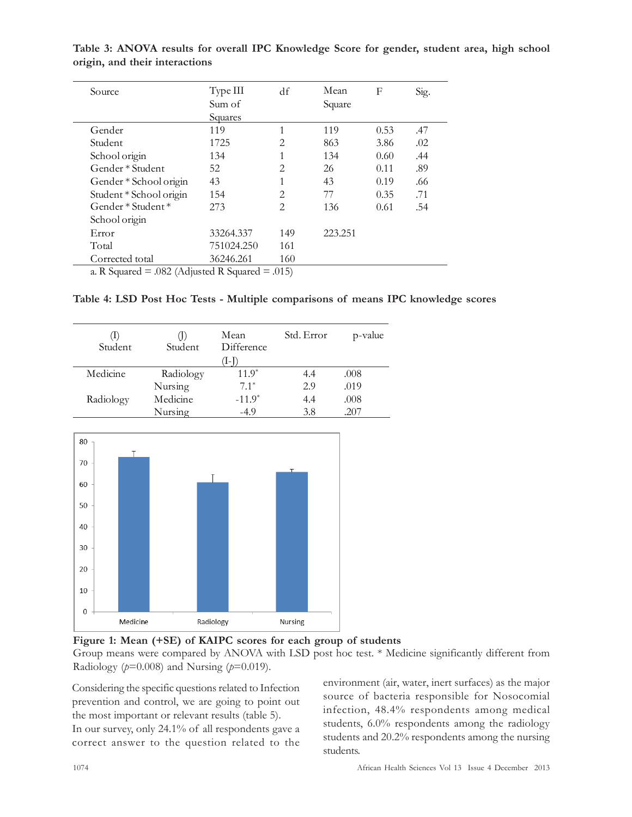| Source                  | Type III   | df             | Mean    | F    | Sig. |
|-------------------------|------------|----------------|---------|------|------|
|                         | Sum of     |                | Square  |      |      |
|                         | Squares    |                |         |      |      |
| Gender                  | 119        |                | 119     | 0.53 | .47  |
| Student                 | 1725       | 2              | 863     | 3.86 | .02  |
| School origin           | 134        | 1              | 134     | 0.60 | .44  |
| Gender * Student        | 52         | $\overline{2}$ | 26      | 0.11 | .89  |
| Gender * School origin  | 43         | 1              | 43      | 0.19 | .66  |
| Student * School origin | 154        | 2              | 77      | 0.35 | .71  |
| Gender $*$ Student $*$  | 273        | 2              | 136     | 0.61 | .54  |
| School origin           |            |                |         |      |      |
| Error                   | 33264.337  | 149            | 223.251 |      |      |
| Total                   | 751024.250 | 161            |         |      |      |
| Corrected total         | 36246.261  | 160            |         |      |      |

Table 3: ANOVA results for overall IPC Knowledge Score for gender, student area, high school origin, and their interactions

a. R Squared  $=$  .082 (Adjusted R Squared  $=$  .015)

|  |  | Table 4: LSD Post Hoc Tests - Multiple comparisons of means IPC knowledge scores |
|--|--|----------------------------------------------------------------------------------|
|--|--|----------------------------------------------------------------------------------|

| Œ.<br>Student | Student   | Mean<br>Difference<br>$1 - 1$ | Std. Error | p-value |
|---------------|-----------|-------------------------------|------------|---------|
| Medicine      | Radiology | $11.9*$                       | 4.4        | .008    |
|               | Nursing   | $7.1*$                        | 2.9        | .019    |
| Radiology     | Medicine  | $-11.9*$                      | 4.4        | .008    |
|               | Nursing   | -4.9                          | 3.8        | .207    |



Figure 1: Mean (+SE) of KAIPC scores for each group of students

Group means were compared by ANOVA with LSD post hoc test. \* Medicine significantly different from Radiology ( $p=0.008$ ) and Nursing ( $p=0.019$ ).

Considering the specific questions related to Infection prevention and control, we are going to point out the most important or relevant results (table 5). In our survey, only 24.1% of all respondents gave a correct answer to the question related to the

environment (air, water, inert surfaces) as the major source of bacteria responsible for Nosocomial infection, 48.4% respondents among medical students, 6.0% respondents among the radiology students and 20.2% respondents among the nursing students.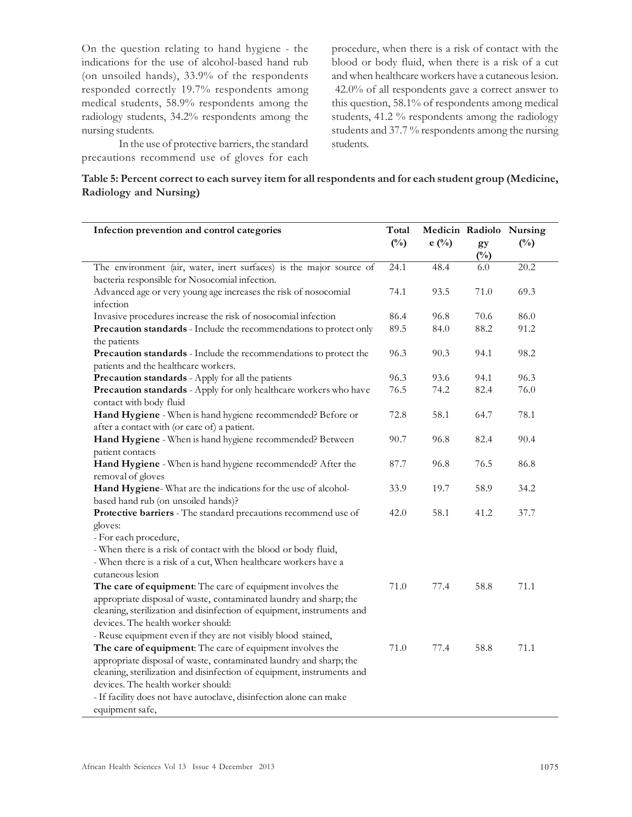On the question relating to hand hygiene - the indications for the use of alcohol-based hand rub (on unsoiled hands), 33.9% of the respondents responded correctly 19.7% respondents among medical students, 58.9% respondents among the radiology students, 34.2% respondents among the nursing students.

In the use of protective barriers, the standard precautions recommend use of gloves for each

procedure, when there is a risk of contact with the blood or body fluid, when there is a risk of a cut and when healthcare workers have a cutaneous lesion. 42.0% of all respondents gave a correct answer to this question, 58.1% of respondents among medical students, 41.2 % respondents among the radiology students and 37.7 % respondents among the nursing students.

#### Table 5: Percent correct to each survey item for all respondents and for each student group (Medicine, Radiology and Nursing)

| Infection prevention and control categories                                                                           |               |                |                    | Medicin Radiolo Nursing |
|-----------------------------------------------------------------------------------------------------------------------|---------------|----------------|--------------------|-------------------------|
|                                                                                                                       | $(^{0}/_{0})$ | $e(^{0}/_{0})$ | gy<br>$(^{0}_{0})$ | $(^{0}/_{0})$           |
| The environment (air, water, inert surfaces) is the major source of<br>bacteria responsible for Nosocomial infection. | 24.1          | 48.4           | 6.0                | 20.2                    |
| Advanced age or very young age increases the risk of nosocomial<br>infection                                          | 74.1          | 93.5           | 71.0               | 69.3                    |
| Invasive procedures increase the risk of nosocomial infection                                                         | 86.4          | 96.8           | 70.6               | 86.0                    |
| Precaution standards - Include the recommendations to protect only                                                    | 89.5          | 84.0           | 88.2               | 91.2                    |
| the patients                                                                                                          |               |                |                    |                         |
| Precaution standards - Include the recommendations to protect the<br>patients and the healthcare workers.             | 96.3          | 90.3           | 94.1               | 98.2                    |
| Precaution standards - Apply for all the patients                                                                     | 96.3          | 93.6           | 94.1               | 96.3                    |
| Precaution standards - Apply for only healthcare workers who have<br>contact with body fluid                          | 76.5          | 74.2           | 82.4               | 76.0                    |
| Hand Hygiene - When is hand hygiene recommended? Before or<br>after a contact with (or care of) a patient.            | 72.8          | 58.1           | 64.7               | 78.1                    |
| Hand Hygiene - When is hand hygiene recommended? Between<br>patient contacts                                          | 90.7          | 96.8           | 82.4               | 90.4                    |
| Hand Hygiene - When is hand hygiene recommended? After the<br>removal of gloves                                       | 87.7          | 96.8           | 76.5               | 86.8                    |
| Hand Hygiene-What are the indications for the use of alcohol-                                                         | 33.9          | 19.7           | 58.9               | 34.2                    |
| based hand rub (on unsoiled hands)?                                                                                   |               |                |                    |                         |
| Protective barriers - The standard precautions recommend use of<br>gloves:                                            | 42.0          | 58.1           | 41.2               | 37.7                    |
| - For each procedure,                                                                                                 |               |                |                    |                         |
| - When there is a risk of contact with the blood or body fluid,                                                       |               |                |                    |                         |
| - When there is a risk of a cut, When healthcare workers have a                                                       |               |                |                    |                         |
| cutaneous lesion                                                                                                      |               |                |                    |                         |
| The care of equipment: The care of equipment involves the                                                             | 71.0          | 77.4           | 58.8               | 71.1                    |
| appropriate disposal of waste, contaminated laundry and sharp; the                                                    |               |                |                    |                         |
| cleaning, sterilization and disinfection of equipment, instruments and                                                |               |                |                    |                         |
| devices. The health worker should:                                                                                    |               |                |                    |                         |
| - Reuse equipment even if they are not visibly blood stained,                                                         |               |                |                    |                         |
| The care of equipment: The care of equipment involves the                                                             | 71.0          | 77.4           | 58.8               | 71.1                    |
| appropriate disposal of waste, contaminated laundry and sharp; the                                                    |               |                |                    |                         |
| cleaning, sterilization and disinfection of equipment, instruments and                                                |               |                |                    |                         |
| devices. The health worker should:                                                                                    |               |                |                    |                         |
| - If facility does not have autoclave, disinfection alone can make                                                    |               |                |                    |                         |
| equipment safe,                                                                                                       |               |                |                    |                         |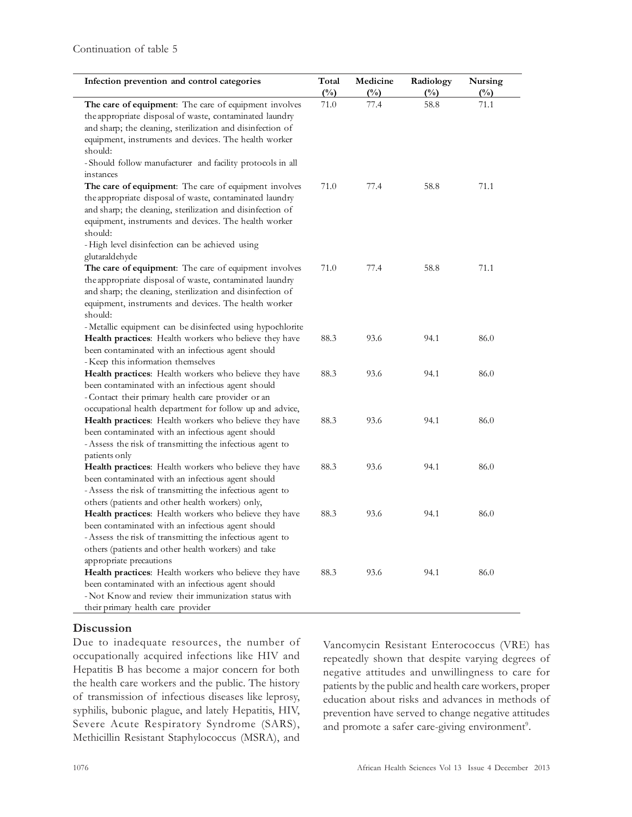| Infection prevention and control categories                                                                                                                                                                                                                                                                                        | Total<br>$(\%)$ | Medicine<br>$(\%)$ | Radiology<br>$\frac{(\%)}{(\%)}$ | Nursing<br>$\binom{0}{0}$ |
|------------------------------------------------------------------------------------------------------------------------------------------------------------------------------------------------------------------------------------------------------------------------------------------------------------------------------------|-----------------|--------------------|----------------------------------|---------------------------|
| The care of equipment: The care of equipment involves<br>the appropriate disposal of waste, contaminated laundry<br>and sharp; the cleaning, sterilization and disinfection of<br>equipment, instruments and devices. The health worker<br>should:<br>-Should follow manufacturer and facility protocols in all<br>instances       | 71.0            | 77.4               | 58.8                             | 71.1                      |
| The care of equipment: The care of equipment involves<br>the appropriate disposal of waste, contaminated laundry<br>and sharp; the cleaning, sterilization and disinfection of<br>equipment, instruments and devices. The health worker<br>should:<br>-High level disinfection can be achieved using                               | 71.0            | 77.4               | 58.8                             | 71.1                      |
| glutaraldehyde<br>The care of equipment: The care of equipment involves<br>the appropriate disposal of waste, contaminated laundry<br>and sharp; the cleaning, sterilization and disinfection of<br>equipment, instruments and devices. The health worker<br>should:<br>- Metallic equipment can be disinfected using hypochlorite | 71.0            | 77.4               | 58.8                             | 71.1                      |
| Health practices: Health workers who believe they have<br>been contaminated with an infectious agent should<br>- Keep this information themselves                                                                                                                                                                                  | 88.3            | 93.6               | 94.1                             | 86.0                      |
| Health practices: Health workers who believe they have<br>been contaminated with an infectious agent should<br>- Contact their primary health care provider or an<br>occupational health department for follow up and advice,                                                                                                      | 88.3            | 93.6               | 94.1                             | 86.0                      |
| Health practices: Health workers who believe they have<br>been contaminated with an infectious agent should<br>- Assess the risk of transmitting the infectious agent to<br>patients only                                                                                                                                          | 88.3            | 93.6               | 94.1                             | 86.0                      |
| Health practices: Health workers who believe they have<br>been contaminated with an infectious agent should<br>- Assess the risk of transmitting the infectious agent to<br>others (patients and other health workers) only,                                                                                                       | 88.3            | 93.6               | 94.1                             | 86.0                      |
| Health practices: Health workers who believe they have<br>been contaminated with an infectious agent should<br>- Assess the risk of transmitting the infectious agent to<br>others (patients and other health workers) and take<br>appropriate precautions                                                                         | 88.3            | 93.6               | 94.1                             | 86.0                      |
| Health practices: Health workers who believe they have<br>been contaminated with an infectious agent should<br>- Not Know and review their immunization status with<br>their primary health care provider                                                                                                                          | 88.3            | 93.6               | 94.1                             | 86.0                      |

#### **Discussion**

Due to inadequate resources, the number of occupationally acquired infections like HIV and Hepatitis B has become a major concern for both the health care workers and the public. The history of transmission of infectious diseases like leprosy, syphilis, bubonic plague, and lately Hepatitis, HIV, Severe Acute Respiratory Syndrome (SARS), Methicillin Resistant Staphylococcus (MSRA), and

Vancomycin Resistant Enterococcus (VRE) has repeatedly shown that despite varying degrees of negative attitudes and unwillingness to care for patients by the public and health care workers, proper education about risks and advances in methods of prevention have served to change negative attitudes and promote a safer care-giving environment<sup>9</sup>.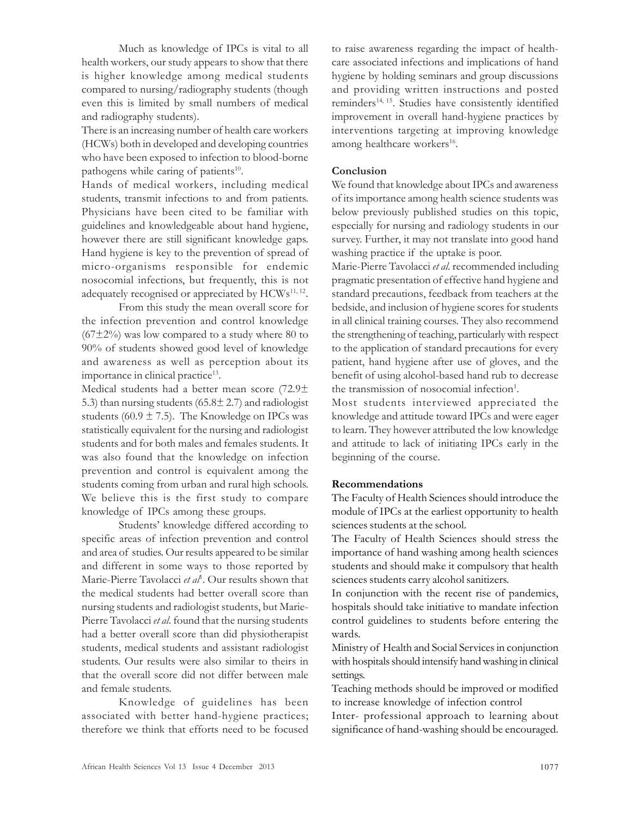Much as knowledge of IPCs is vital to all health workers, our study appears to show that there is higher knowledge among medical students compared to nursing/radiography students (though even this is limited by small numbers of medical and radiography students).

There is an increasing number of health care workers (HCWs) both in developed and developing countries who have been exposed to infection to blood-borne pathogens while caring of patients<sup>10</sup>.

Hands of medical workers, including medical students, transmit infections to and from patients. Physicians have been cited to be familiar with guidelines and knowledgeable about hand hygiene, however there are still significant knowledge gaps. Hand hygiene is key to the prevention of spread of micro-organisms responsible for endemic nosocomial infections, but frequently, this is not adequately recognised or appreciated by HCWs<sup>11, 12</sup>.

From this study the mean overall score for the infection prevention and control knowledge  $(67\pm2\%)$  was low compared to a study where 80 to 90% of students showed good level of knowledge and awareness as well as perception about its importance in clinical practice<sup>13</sup>.

Medical students had a better mean score (72.9± 5.3) than nursing students  $(65.8 \pm 2.7)$  and radiologist students (60.9  $\pm$  7.5). The Knowledge on IPCs was statistically equivalent for the nursing and radiologist students and for both males and females students. It was also found that the knowledge on infection prevention and control is equivalent among the students coming from urban and rural high schools. We believe this is the first study to compare knowledge of IPCs among these groups.

Students' knowledge differed according to specific areas of infection prevention and control and area of studies. Our results appeared to be similar and different in some ways to those reported by Marie-Pierre Tavolacci et al<sup>1</sup>. Our results shown that the medical students had better overall score than nursing students and radiologist students, but Marie-Pierre Tavolacci et al. found that the nursing students had a better overall score than did physiotherapist students, medical students and assistant radiologist students. Our results were also similar to theirs in that the overall score did not differ between male and female students.

Knowledge of guidelines has been associated with better hand-hygiene practices; therefore we think that efforts need to be focused to raise awareness regarding the impact of healthcare associated infections and implications of hand hygiene by holding seminars and group discussions and providing written instructions and posted reminders<sup>14, 15</sup>. Studies have consistently identified improvement in overall hand-hygiene practices by interventions targeting at improving knowledge among healthcare workers<sup>16</sup>.

### **Conclusion**

We found that knowledge about IPCs and awareness of its importance among health science students was below previously published studies on this topic, especially for nursing and radiology students in our survey. Further, it may not translate into good hand washing practice if the uptake is poor.

Marie-Pierre Tavolacci et al. recommended including pragmatic presentation of effective hand hygiene and standard precautions, feedback from teachers at the bedside, and inclusion of hygiene scores for students in all clinical training courses. They also recommend the strengthening of teaching, particularly with respect to the application of standard precautions for every patient, hand hygiene after use of gloves, and the benefit of using alcohol-based hand rub to decrease the transmission of nosocomial infection<sup>1</sup>.

Most students interviewed appreciated the knowledge and attitude toward IPCs and were eager to learn. They however attributed the low knowledge and attitude to lack of initiating IPCs early in the beginning of the course.

# Recommendations

The Faculty of Health Sciences should introduce the module of IPCs at the earliest opportunity to health sciences students at the school.

The Faculty of Health Sciences should stress the importance of hand washing among health sciences students and should make it compulsory that health sciences students carry alcohol sanitizers.

In conjunction with the recent rise of pandemics, hospitals should take initiative to mandate infection control guidelines to students before entering the wards.

Ministry of Health and Social Services in conjunction with hospitals should intensify hand washing in clinical settings.

Teaching methods should be improved or modified to increase knowledge of infection control

Inter- professional approach to learning about significance of hand-washing should be encouraged.